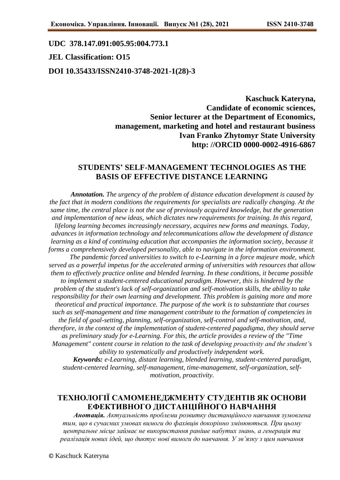#### **UDC 378.147.091:005.95:004.773.1**

### **JEL Classification: O15**

#### **DOI 10.35433/ISSN2410-3748-2021-1(28)-3**

**Kaschuck Kateryna, Candidate of economic sciences, Senior lecturer at the Department of Economics, management, marketing and hotel and restaurant business Ivan Franko Zhytomyr State University http: //ORCID 0000-0002-4916-6867**

## **STUDENTS' SELF-MANAGEMENT TECHNOLOGIES AS THE BASIS OF EFFECTIVE DISTANCE LEARNING**

*Annotation. The urgency of the problem of distance education development is caused by the fact that in modern conditions the requirements for specialists are radically changing. At the same time, the central place is not the use of previously acquired knowledge, but the generation and implementation of new ideas, which dictates new requirements for training. In this regard, lifelong learning becomes increasingly necessary, acquires new forms and meanings. Today, advances in information technology and telecommunications allow the development of distance learning as a kind of continuing education that accompanies the information society, because it forms a comprehensively developed personality, able to navigate in the information environment. The pandemic forced universities to switch to e-Learning in a force majeure mode, which served as a powerful impetus for the accelerated arming of universities with resources that allow them to effectively practice online and blended learning. In these conditions, it became possible to implement a student-centered educational paradigm. However, this is hindered by the problem of the student's lack of self-organization and self-motivation skills, the ability to take responsibility for their own learning and development. This problem is gaining more and more theoretical and practical importance. The purpose of the work is to substantiate that courses such as self-management and time management contribute to the formation of competencies in the field of goal-setting, planning, self-organization, self-control and self-motivation, and, therefore, in the context of the implementation of student-centered pagadigma, they should serve as preliminary study for e-Learning. For this, the article provides a review of the "Time Management" content course in relation to the task of developing proactivity and the student's ability to systematically and productively independent work. Keywords: e-Learning, distant learning, blended learning, student-centered paradigm, student-centered learning, self-management, time-management, self-organization, selfmotivation, proactivity.*

# **ТЕХНОЛОГІЇ САМОМЕНЕДЖМЕНТУ СТУДЕНТІВ ЯК ОСНОВИ ЕФЕКТИВНОГО ДИСТАНЦІЙНОГО НАВЧАННЯ**

*Анотація. Актуальність проблеми розвитку дистанційного навчання зумовлена тим, що в сучасних умовах вимоги до фахівців докорінно змінюються. При цьому центральне місце займає не використання раніше набутих знань, а генерація та реалізація нових ідей, що диктує нові вимоги до навчання. У зв'язку з цим навчання*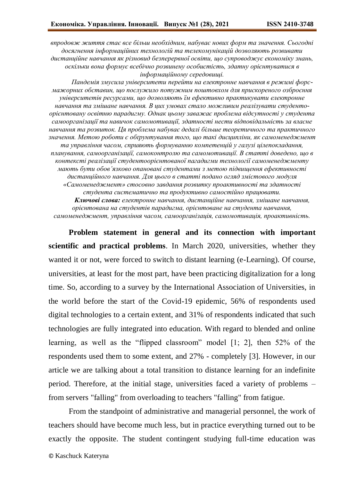*впродовж життя стає все більш необхідним, набуває нових форм та значення. Сьогодні досягнення інформаційних технологій та телекомунікацій дозволяють розвивати дистанційне навчання як різновид безперервної освіти, що супроводжує економіку знань, оскільки вона формує всебічно розвинену особистість, здатну орієнтуватися в інформаційному середовищі.*

*Пандемія змусила університети перейти на електронне навчання в режимі форсмажорних обставин, що послужило потужним поштовхом для прискореного озброєння університетів ресурсами, що дозволяють їм ефективно практикувати електронне навчання та змішане навчання. В цих умовах стало можливим реалізувати студентоорієнтовану освітню парадигму. Однак цьому заважає проблема відсутності у студента самоорганізації та навичок самомотивації, здатності нести відповідальність за власне навчання та розвиток. Ця проблема набуває дедалі більше теоретичного та практичного значення. Метою роботи є обґрунтування того, що такі дисципліни, як самоменеджмент та управління часом, сприяють формуванню компетенцій у галузі цілепокладання, планування, самоорганізації, самоконтролю та самомотивації. В статті доведено, що в контексті реалізації студентоорієнтованої пагадигми технології самоменеджменту мають бути обов'язково опановані студентами з метою підвищення ефективності дистанційного навчання. Для цього в статті подано огляд змістового модуля «Самоменеджмент» стосовно завдання розвитку проактивності та здатності студента систематично та продуктивно самостійно працювати. Ключові слова: електронне навчання, дистанційне навчання, змішане навчання,* 

*орієнтована на студентів парадигма, орієнтоване на студента навчання, самоменеджмент, управління часом, самоорганізація, самомотивація, проактивність.*

**Problem statement in general and its connection with important scientific and practical problems**. In March 2020, universities, whether they wanted it or not, were forced to switch to distant learning (e-Learning). Of course, universities, at least for the most part, have been practicing digitalization for a long time. So, according to a survey by the International Association of Universities, in the world before the start of the Covid-19 epidemic, 56% of respondents used digital technologies to a certain extent, and 31% of respondents indicated that such technologies are fully integrated into education. With regard to blended and online learning, as well as the "flipped classroom" model [1; 2], then 52% of the respondents used them to some extent, and 27% - completely [3]. However, in our article we are talking about a total transition to distance learning for an indefinite period. Therefore, at the initial stage, universities faced a variety of problems – from servers "falling" from overloading to teachers "falling" from fatigue.

From the standpoint of administrative and managerial personnel, the work of teachers should have become much less, but in practice everything turned out to be exactly the opposite. The student contingent studying full-time education was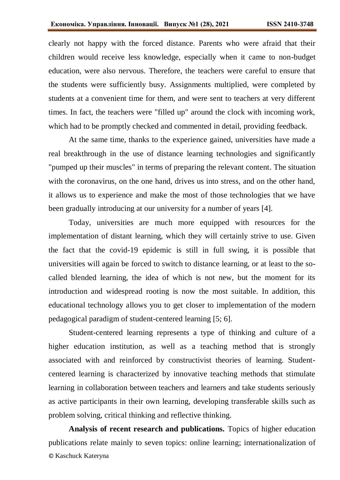clearly not happy with the forced distance. Parents who were afraid that their children would receive less knowledge, especially when it came to non-budget education, were also nervous. Therefore, the teachers were careful to ensure that the students were sufficiently busy. Assignments multiplied, were completed by students at a convenient time for them, and were sent to teachers at very different times. In fact, the teachers were "filled up" around the clock with incoming work, which had to be promptly checked and commented in detail, providing feedback.

At the same time, thanks to the experience gained, universities have made a real breakthrough in the use of distance learning technologies and significantly "pumped up their muscles" in terms of preparing the relevant content. The situation with the coronavirus, on the one hand, drives us into stress, and on the other hand, it allows us to experience and make the most of those technologies that we have been gradually introducing at our university for a number of years [4].

Today, universities are much more equipped with resources for the implementation of distant learning, which they will certainly strive to use. Given the fact that the covid-19 epidemic is still in full swing, it is possible that universities will again be forced to switch to distance learning, or at least to the socalled blended learning, the idea of which is not new, but the moment for its introduction and widespread rooting is now the most suitable. In addition, this educational technology allows you to get closer to implementation of the modern pedagogical paradigm of student-centered learning [5; 6].

Student-centered learning represents a type of thinking and culture of a higher education institution, as well as a teaching method that is strongly associated with and reinforced by constructivist theories of learning. Studentcentered learning is characterized by innovative teaching methods that stimulate learning in collaboration between teachers and learners and take students seriously as active participants in their own learning, developing transferable skills such as problem solving, critical thinking and reflective thinking.

© Kaschuck Kateryna **Analysis of recent research and publications.** Topics of higher education publications relate mainly to seven topics: online learning; internationalization of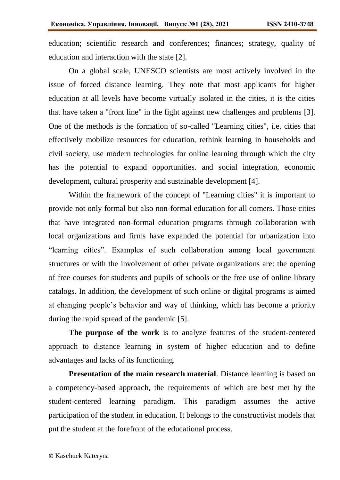education; scientific research and conferences; finances; strategy, quality of education and interaction with the state [2].

On a global scale, UNESCO scientists are most actively involved in the issue of forced distance learning. They note that most applicants for higher education at all levels have become virtually isolated in the cities, it is the cities that have taken a "front line" in the fight against new challenges and problems [3]. One of the methods is the formation of so-called "Learning cities", i.e. cities that effectively mobilize resources for education, rethink learning in households and civil society, use modern technologies for online learning through which the city has the potential to expand opportunities. and social integration, economic development, cultural prosperity and sustainable development [4].

Within the framework of the concept of "Learning cities" it is important to provide not only formal but also non-formal education for all comers. Those cities that have integrated non-formal education programs through collaboration with local organizations and firms have expanded the potential for urbanization into "learning cities". Examples of such collaboration among local government structures or with the involvement of other private organizations are: the opening of free courses for students and pupils of schools or the free use of online library catalogs. In addition, the development of such online or digital programs is aimed at changing people's behavior and way of thinking, which has become a priority during the rapid spread of the pandemic [5].

**The purpose of the work** is to analyze features of the student-centered approach to distance learning in system of higher education and to define advantages and lacks of its functioning.

**Presentation of the main research material**. Distance learning is based on a competency-based approach, the requirements of which are best met by the student-centered learning paradigm. This paradigm assumes the active participation of the student in education. It belongs to the constructivist models that put the student at the forefront of the educational process.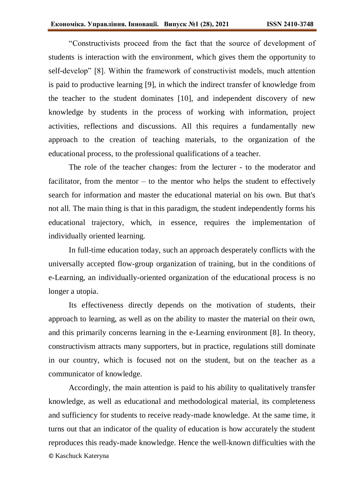"Constructivists proceed from the fact that the source of development of students is interaction with the environment, which gives them the opportunity to self-develop" [8]. Within the framework of constructivist models, much attention is paid to productive learning [9], in which the indirect transfer of knowledge from the teacher to the student dominates [10], and independent discovery of new knowledge by students in the process of working with information, project activities, reflections and discussions. All this requires a fundamentally new approach to the creation of teaching materials, to the organization of the educational process, to the professional qualifications of a teacher.

The role of the teacher changes: from the lecturer - to the moderator and facilitator, from the mentor  $-$  to the mentor who helps the student to effectively search for information and master the educational material on his own. But that's not all. The main thing is that in this paradigm, the student independently forms his educational trajectory, which, in essence, requires the implementation of individually oriented learning.

In full-time education today, such an approach desperately conflicts with the universally accepted flow-group organization of training, but in the conditions of e-Learning, an individually-oriented organization of the educational process is no longer a utopia.

Its effectiveness directly depends on the motivation of students, their approach to learning, as well as on the ability to master the material on their own, and this primarily concerns learning in the e-Learning environment [8]. In theory, constructivism attracts many supporters, but in practice, regulations still dominate in our country, which is focused not on the student, but on the teacher as a communicator of knowledge.

© Kaschuck Kateryna Accordingly, the main attention is paid to his ability to qualitatively transfer knowledge, as well as educational and methodological material, its completeness and sufficiency for students to receive ready-made knowledge. At the same time, it turns out that an indicator of the quality of education is how accurately the student reproduces this ready-made knowledge. Hence the well-known difficulties with the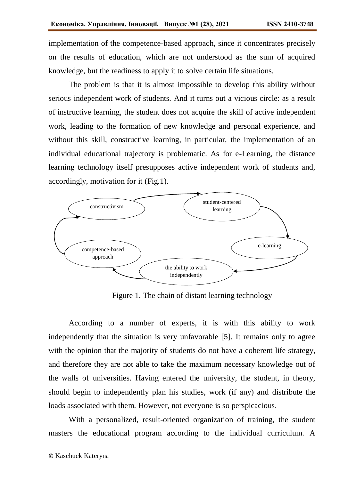implementation of the competence-based approach, since it concentrates precisely on the results of education, which are not understood as the sum of acquired knowledge, but the readiness to apply it to solve certain life situations.

The problem is that it is almost impossible to develop this ability without serious independent work of students. And it turns out a vicious circle: as a result of instructive learning, the student does not acquire the skill of active independent work, leading to the formation of new knowledge and personal experience, and without this skill, constructive learning, in particular, the implementation of an individual educational trajectory is problematic. As for e-Learning, the distance learning technology itself presupposes active independent work of students and, accordingly, motivation for it (Fig.1).



Figure 1. The chain of distant learning technology

According to a number of experts, it is with this ability to work independently that the situation is very unfavorable [5]. It remains only to agree with the opinion that the majority of students do not have a coherent life strategy, and therefore they are not able to take the maximum necessary knowledge out of the walls of universities. Having entered the university, the student, in theory, should begin to independently plan his studies, work (if any) and distribute the loads associated with them. However, not everyone is so perspicacious.

With a personalized, result-oriented organization of training, the student masters the educational program according to the individual curriculum. A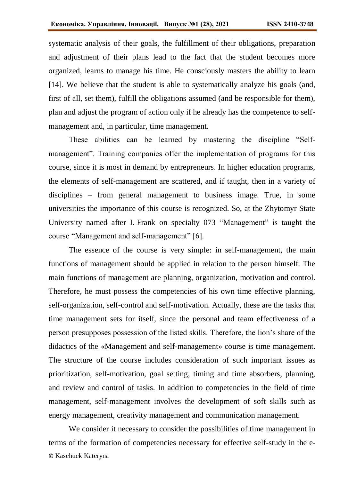systematic analysis of their goals, the fulfillment of their obligations, preparation and adjustment of their plans lead to the fact that the student becomes more organized, learns to manage his time. He consciously masters the ability to learn [14]. We believe that the student is able to systematically analyze his goals (and, first of all, set them), fulfill the obligations assumed (and be responsible for them), plan and adjust the program of action only if he already has the competence to selfmanagement and, in particular, time management.

These abilities can be learned by mastering the discipline "Selfmanagement". Training companies offer the implementation of programs for this course, since it is most in demand by entrepreneurs. In higher education programs, the elements of self-management are scattered, and if taught, then in a variety of disciplines – from general management to business image. True, in some universities the importance of this course is recognized. So, at the Zhytomyr State University named after I. Frank on specialty 073 "Management" is taught the course "Management and self-management" [6].

The essence of the course is very simple: in self-management, the main functions of management should be applied in relation to the person himself. The main functions of management are planning, organization, motivation and control. Therefore, he must possess the competencies of his own time effective planning, self-organization, self-control and self-motivation. Actually, these are the tasks that time management sets for itself, since the personal and team effectiveness of a person presupposes possession of the listed skills. Therefore, the lion's share of the didactics of the «Management and self-management» course is time management. The structure of the course includes consideration of such important issues as prioritization, self-motivation, goal setting, timing and time absorbers, planning, and review and control of tasks. In addition to competencies in the field of time management, self-management involves the development of soft skills such as energy management, creativity management and communication management.

© Kaschuck Kateryna We consider it necessary to consider the possibilities of time management in terms of the formation of competencies necessary for effective self-study in the e-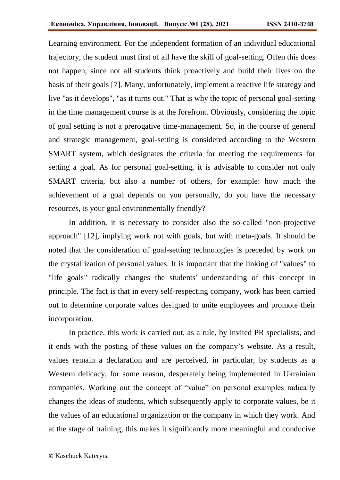Learning environment. For the independent formation of an individual educational trajectory, the student must first of all have the skill of goal-setting. Often this does not happen, since not all students think proactively and build their lives on the basis of their goals [7]. Many, unfortunately, implement a reactive life strategy and live "as it develops", "as it turns out." That is why the topic of personal goal-setting in the time management course is at the forefront. Obviously, considering the topic of goal setting is not a prerogative time-management. So, in the course of general and strategic management, goal-setting is considered according to the Western SMART system, which designates the criteria for meeting the requirements for setting a goal. As for personal goal-setting, it is advisable to consider not only SMART criteria, but also a number of others, for example: how much the achievement of a goal depends on you personally, do you have the necessary resources, is your goal environmentally friendly?

In addition, it is necessary to consider also the so-called "non-projective approach" [12], implying work not with goals, but with meta-goals. It should be noted that the consideration of goal-setting technologies is preceded by work on the crystallization of personal values. It is important that the linking of "values" to "life goals" radically changes the students' understanding of this concept in principle. The fact is that in every self-respecting company, work has been carried out to determine corporate values designed to unite employees and promote their incorporation.

In practice, this work is carried out, as a rule, by invited PR specialists, and it ends with the posting of these values on the company's website. As a result, values remain a declaration and are perceived, in particular, by students as a Western delicacy, for some reason, desperately being implemented in Ukrainian companies. Working out the concept of "value" on personal examples radically changes the ideas of students, which subsequently apply to corporate values, be it the values of an educational organization or the company in which they work. And at the stage of training, this makes it significantly more meaningful and conducive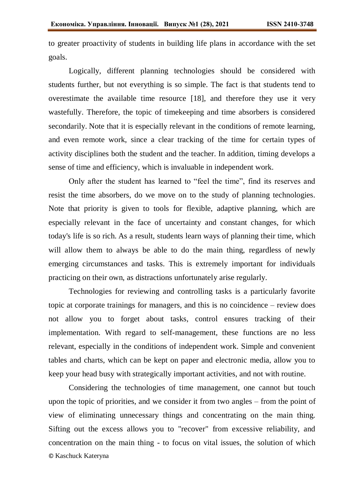to greater proactivity of students in building life plans in accordance with the set goals.

Logically, different planning technologies should be considered with students further, but not everything is so simple. The fact is that students tend to overestimate the available time resource [18], and therefore they use it very wastefully. Therefore, the topic of timekeeping and time absorbers is considered secondarily. Note that it is especially relevant in the conditions of remote learning, and even remote work, since a clear tracking of the time for certain types of activity disciplines both the student and the teacher. In addition, timing develops a sense of time and efficiency, which is invaluable in independent work.

Only after the student has learned to "feel the time", find its reserves and resist the time absorbers, do we move on to the study of planning technologies. Note that priority is given to tools for flexible, adaptive planning, which are especially relevant in the face of uncertainty and constant changes, for which today's life is so rich. As a result, students learn ways of planning their time, which will allow them to always be able to do the main thing, regardless of newly emerging circumstances and tasks. This is extremely important for individuals practicing on their own, as distractions unfortunately arise regularly.

Technologies for reviewing and controlling tasks is a particularly favorite topic at corporate trainings for managers, and this is no coincidence – review does not allow you to forget about tasks, control ensures tracking of their implementation. With regard to self-management, these functions are no less relevant, especially in the conditions of independent work. Simple and convenient tables and charts, which can be kept on paper and electronic media, allow you to keep your head busy with strategically important activities, and not with routine.

© Kaschuck Kateryna Considering the technologies of time management, one cannot but touch upon the topic of priorities, and we consider it from two angles – from the point of view of eliminating unnecessary things and concentrating on the main thing. Sifting out the excess allows you to "recover" from excessive reliability, and concentration on the main thing - to focus on vital issues, the solution of which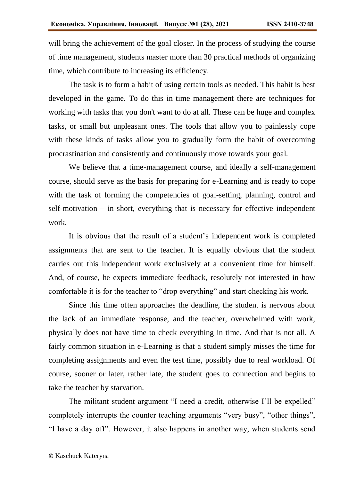will bring the achievement of the goal closer. In the process of studying the course of time management, students master more than 30 practical methods of organizing time, which contribute to increasing its efficiency.

The task is to form a habit of using certain tools as needed. This habit is best developed in the game. To do this in time management there are techniques for working with tasks that you don't want to do at all. These can be huge and complex tasks, or small but unpleasant ones. The tools that allow you to painlessly cope with these kinds of tasks allow you to gradually form the habit of overcoming procrastination and consistently and continuously move towards your goal.

We believe that a time-management course, and ideally a self-management course, should serve as the basis for preparing for e-Learning and is ready to cope with the task of forming the competencies of goal-setting, planning, control and self-motivation – in short, everything that is necessary for effective independent work.

It is obvious that the result of a student's independent work is completed assignments that are sent to the teacher. It is equally obvious that the student carries out this independent work exclusively at a convenient time for himself. And, of course, he expects immediate feedback, resolutely not interested in how comfortable it is for the teacher to "drop everything" and start checking his work.

Since this time often approaches the deadline, the student is nervous about the lack of an immediate response, and the teacher, overwhelmed with work, physically does not have time to check everything in time. And that is not all. A fairly common situation in e-Learning is that a student simply misses the time for completing assignments and even the test time, possibly due to real workload. Of course, sooner or later, rather late, the student goes to connection and begins to take the teacher by starvation.

The militant student argument "I need a credit, otherwise I'll be expelled" completely interrupts the counter teaching arguments "very busy", "other things", "I have a day off". However, it also happens in another way, when students send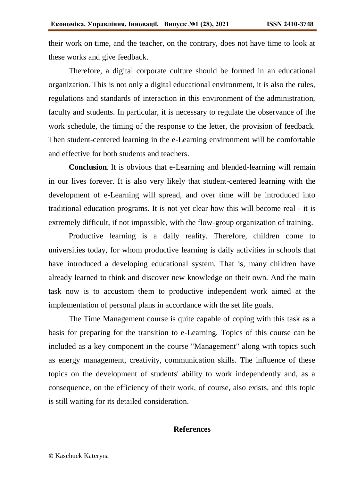their work on time, and the teacher, on the contrary, does not have time to look at these works and give feedback.

Therefore, a digital corporate culture should be formed in an educational organization. This is not only a digital educational environment, it is also the rules, regulations and standards of interaction in this environment of the administration, faculty and students. In particular, it is necessary to regulate the observance of the work schedule, the timing of the response to the letter, the provision of feedback. Then student-centered learning in the e-Learning environment will be comfortable and effective for both students and teachers.

**Conclusion**. It is obvious that e-Learning and blended-learning will remain in our lives forever. It is also very likely that student-centered learning with the development of e-Learning will spread, and over time will be introduced into traditional education programs. It is not yet clear how this will become real - it is extremely difficult, if not impossible, with the flow-group organization of training.

Productive learning is a daily reality. Therefore, children come to universities today, for whom productive learning is daily activities in schools that have introduced a developing educational system. That is, many children have already learned to think and discover new knowledge on their own. And the main task now is to accustom them to productive independent work aimed at the implementation of personal plans in accordance with the set life goals.

The Time Management course is quite capable of coping with this task as a basis for preparing for the transition to e-Learning. Topics of this course can be included as a key component in the course "Management" along with topics such as energy management, creativity, communication skills. The influence of these topics on the development of students' ability to work independently and, as a consequence, on the efficiency of their work, of course, also exists, and this topic is still waiting for its detailed consideration.

## **References**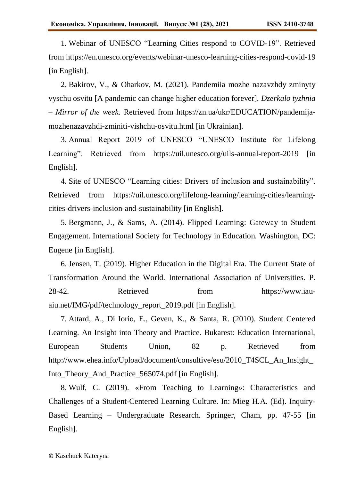1. Webinar of UNESCO "Learning Cities respond to COVID-19". Retrieved from https://en.unesco.org/events/webinar-unesco-learning-cities-respond-covid-19 [in English].

2. Bakirov, V., & Oharkov, M. (2021). Pandemiia mozhe nazavzhdy zminyty vyschu osvitu [A pandemic can change higher education forever]. *Dzerkalo tyzhnia – Mirror of the week.* Retrieved from https://zn.ua/ukr/EDUCATION/pandemijamozhenazavzhdi-zminiti-vishchu-osvitu.html [in Ukrainian].

3. Annual Report 2019 of UNESCO "UNESCO Institute for Lifelong Learning". Retrieved from <https://uil.unesco.org/uils-annual-report-2019> [in] English].

4. Site of UNESCO "Learning cities: Drivers of inclusion and sustainability". Retrieved from https://uil.unesco.org/lifelong-learning/learning-cities/learningcities-drivers-inclusion-and-sustainability [in English].

5. Bergmann, J., & Sams, A. (2014). Flipped Learning: Gateway to Student Engagement. International Society for Technology in Education. Washington, DC: Eugene [in English].

6. Jensen, T. (2019). Higher Education in the Digital Era. The Current State of Transformation Around the World. International Association of Universities. P. 28-42. Retrieved from https://www.iauaiu.net/IMG/pdf/technology\_report\_2019.pdf [in English].

7. Attard, A., Di Iorio, E., Geven, K., & Santa, R. (2010). Student Centered Learning. An Insight into Theory and Practice. Bukarest: Education International, European Students Union, 82 p. Retrieved from http://www.ehea.info/Upload/document/consultive/esu/2010\_T4SCL\_An\_Insight\_ Into\_Theory\_And\_Practice\_565074.pdf [in English].

8. Wulf, C. (2019). «From Teaching to Learning»: Characteristics and Challenges of a Student-Centered Learning Culture. In: Mieg H.A. (Ed). Inquiry-Based Learning – Undergraduate Research. Springer, Cham, pp. 47-55 [in English].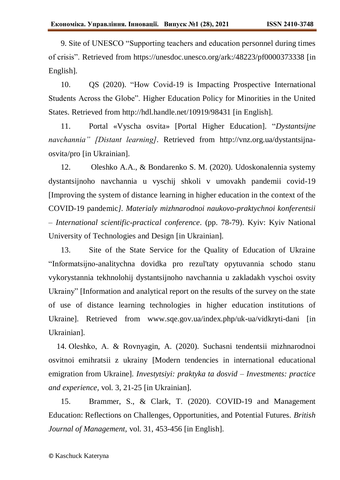9. Site of UNESCO "Supporting teachers and education personnel during times of crisis". Retrieved from https://unesdoc.unesco.org/ark:/48223/pf0000373338 [in English].

10. QS (2020). "How Covid-19 is Impacting Prospective International Students Across the Globe". Higher Education Policy for Minorities in the United States. Retrieved from http://hdl.handle.net/10919/98431 [in English].

11. Portal «Vyscha osvita» [Portal Higher Education]. "*Dystantsijne navchannia" [Distant learning]*. Retrieved from http://vnz.org.ua/dystantsijnaosvita/pro [in Ukrainian].

12. Oleshko A.A., & Bondarenko S. M. (2020). Udoskonalennia systemy dystantsijnoho navchannia u vyschij shkoli v umovakh pandemii covid-19 [Improving the system of distance learning in higher education in the context of the COVID-19 pandemic*]. Materialy mizhnarodnoi naukovo-praktychnoi konferentsii – International scientific-practical conference*. (pp. 78-79). Kyiv: Kyiv National University of Technologies and Design [in Ukrainian].

13. Site of the State Service for the Quality of Education of Ukraine "Informatsijno-analitychna dovidka pro rezul'taty opytuvannia schodo stanu vykorystannia tekhnolohij dystantsijnoho navchannia u zakladakh vyschoi osvity Ukrainy" [Information and analytical report on the results of the survey on the state of use of distance learning technologies in higher education institutions of Ukraine]. Retrieved from www.sqe.gov.ua/index.php/uk-ua/vidkryti-dani [in Ukrainian].

14. Oleshko, А. & Rovnyagin, A. (2020). Suchasni tendentsii mizhnarodnoi osvitnoi emihratsii z ukrainy [Modern tendencies in international educational emigration from Ukraine]. *Investytsiyi: praktyka ta dosvid – Investments: practice and experience,* vol. 3, 21-25 [in Ukrainian].

15. Brammer, S., & Clark, Т. (2020). COVID-19 and Management Education: Reflections on Challenges, Opportunities, and Potential Futures. *British Journal of Management,* vol. 31, 453-456 [in English].